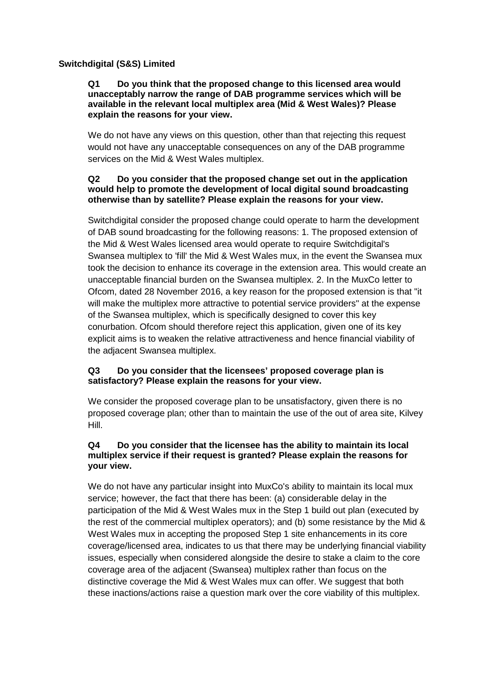# **Switchdigital (S&S) Limited**

### **Q1 Do you think that the proposed change to this licensed area would unacceptably narrow the range of DAB programme services which will be available in the relevant local multiplex area (Mid & West Wales)? Please explain the reasons for your view.**

We do not have any views on this question, other than that rejecting this request would not have any unacceptable consequences on any of the DAB programme services on the Mid & West Wales multiplex.

## **Q2 Do you consider that the proposed change set out in the application would help to promote the development of local digital sound broadcasting otherwise than by satellite? Please explain the reasons for your view.**

Switchdigital consider the proposed change could operate to harm the development of DAB sound broadcasting for the following reasons: 1. The proposed extension of the Mid & West Wales licensed area would operate to require Switchdigital's Swansea multiplex to 'fill' the Mid & West Wales mux, in the event the Swansea mux took the decision to enhance its coverage in the extension area. This would create an unacceptable financial burden on the Swansea multiplex. 2. In the MuxCo letter to Ofcom, dated 28 November 2016, a key reason for the proposed extension is that "it will make the multiplex more attractive to potential service providers" at the expense of the Swansea multiplex, which is specifically designed to cover this key conurbation. Ofcom should therefore reject this application, given one of its key explicit aims is to weaken the relative attractiveness and hence financial viability of the adjacent Swansea multiplex.

# **Q3 Do you consider that the licensees' proposed coverage plan is satisfactory? Please explain the reasons for your view.**

We consider the proposed coverage plan to be unsatisfactory, given there is no proposed coverage plan; other than to maintain the use of the out of area site, Kilvey Hill.

## **Q4 Do you consider that the licensee has the ability to maintain its local multiplex service if their request is granted? Please explain the reasons for your view.**

We do not have any particular insight into MuxCo's ability to maintain its local mux service; however, the fact that there has been: (a) considerable delay in the participation of the Mid & West Wales mux in the Step 1 build out plan (executed by the rest of the commercial multiplex operators); and (b) some resistance by the Mid & West Wales mux in accepting the proposed Step 1 site enhancements in its core coverage/licensed area, indicates to us that there may be underlying financial viability issues, especially when considered alongside the desire to stake a claim to the core coverage area of the adjacent (Swansea) multiplex rather than focus on the distinctive coverage the Mid & West Wales mux can offer. We suggest that both these inactions/actions raise a question mark over the core viability of this multiplex.